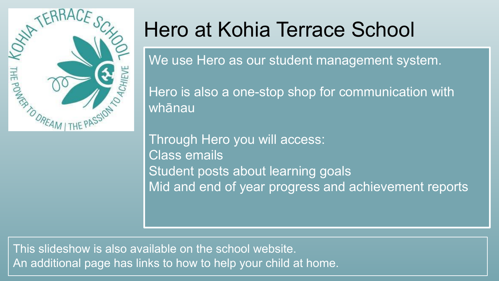

# Hero at Kohia Terrace School

We use Hero as our student management system.

Hero is also a one-stop shop for communication with whānau

Through Hero you will access: Class emails Student posts about learning goals Mid and end of year progress and achievement reports

This slideshow is also available on the school website. An additional page has links to how to help your child at home.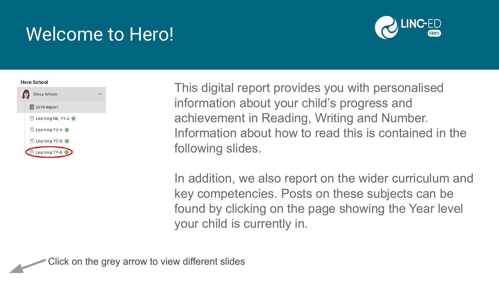# Welcome to Hero!



#### **Hero School**



This digital report provides you with personalised information about your child's progress and achievement in Reading, Writing and Number. Information about how to read this is contained in the following slides.

In addition, we also report on the wider curriculum and key competencies. Posts on these subjects can be found by clicking on the page showing the Year level your child is currently in.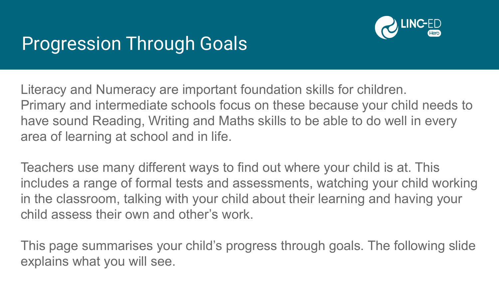

### Progression Through Goals

Literacy and Numeracy are important foundation skills for children. Primary and intermediate schools focus on these because your child needs to have sound Reading, Writing and Maths skills to be able to do well in every area of learning at school and in life.

Teachers use many different ways to find out where your child is at. This includes a range of formal tests and assessments, watching your child working in the classroom, talking with your child about their learning and having your child assess their own and other's work.

This page summarises your child's progress through goals. The following slide explains what you will see.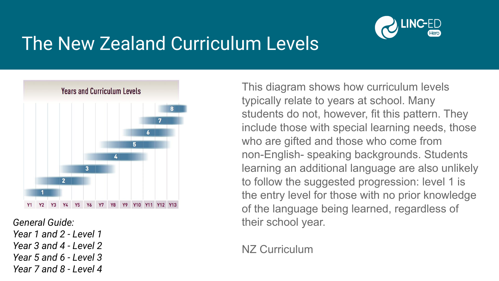

### The New Zealand Curriculum Levels



*General Guide:*

*Year 1 and 2 - Level 1* 

*Year 3 and 4 - Level 2*

*Year 5 and 6 - Level 3*

*Year 7 and 8 - Level 4*

This diagram shows how curriculum levels typically relate to years at school. Many students do not, however, fit this pattern. They include those with special learning needs, those who are gifted and those who come from non-English- speaking backgrounds. Students learning an additional language are also unlikely to follow the suggested progression: level 1 is the entry level for those with no prior knowledge of the language being learned, regardless of their school year.

NZ Curriculum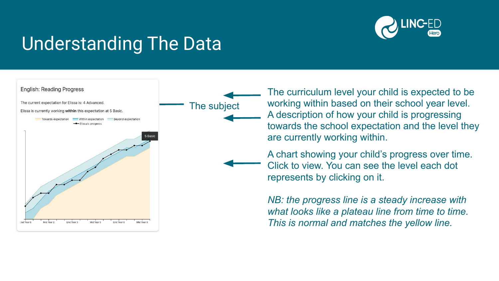

# Understanding The Data



The subject

The curriculum level your child is expected to be working within based on their school year level. A description of how your child is progressing towards the school expectation and the level they are currently working within.

A chart showing your child's progress over time. Click to view. You can see the level each dot represents by clicking on it.

*NB: the progress line is a steady increase with what looks like a plateau line from time to time. This is normal and matches the yellow line.*